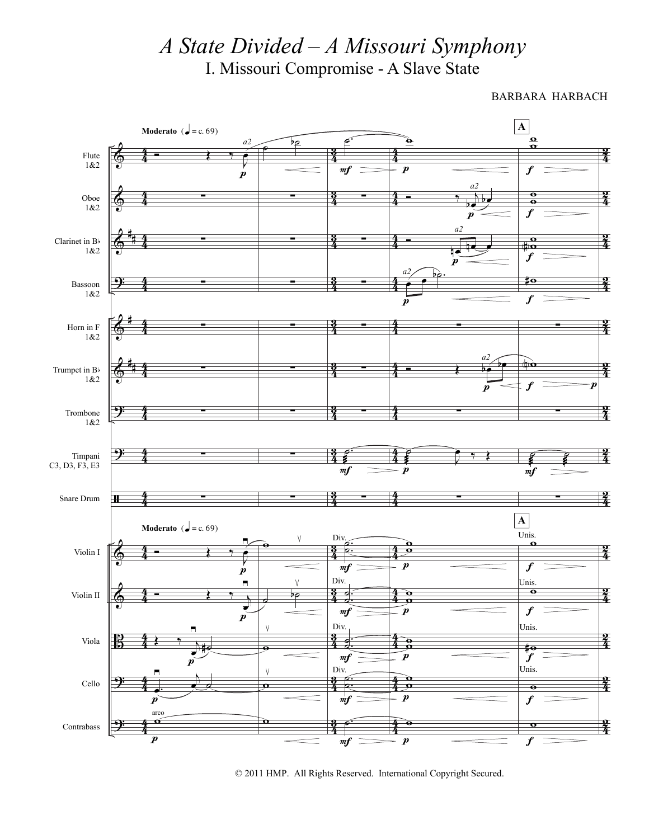## *A State Divided – A Missouri Symphony* I. Missouri Compromise - A Slave State

BARBARA HARBACH



© 2011 HMP. All Rights Reserved. International Copyright Secured.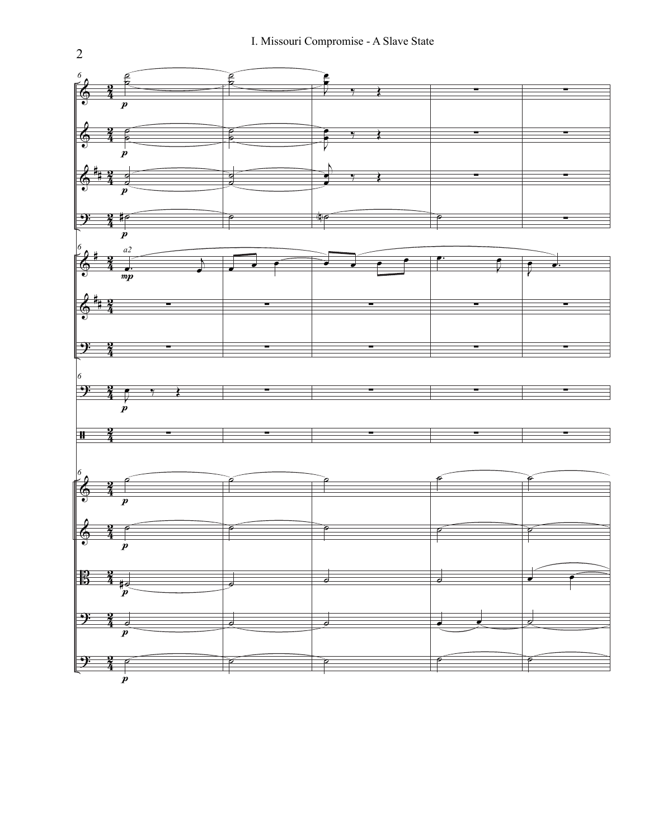

2